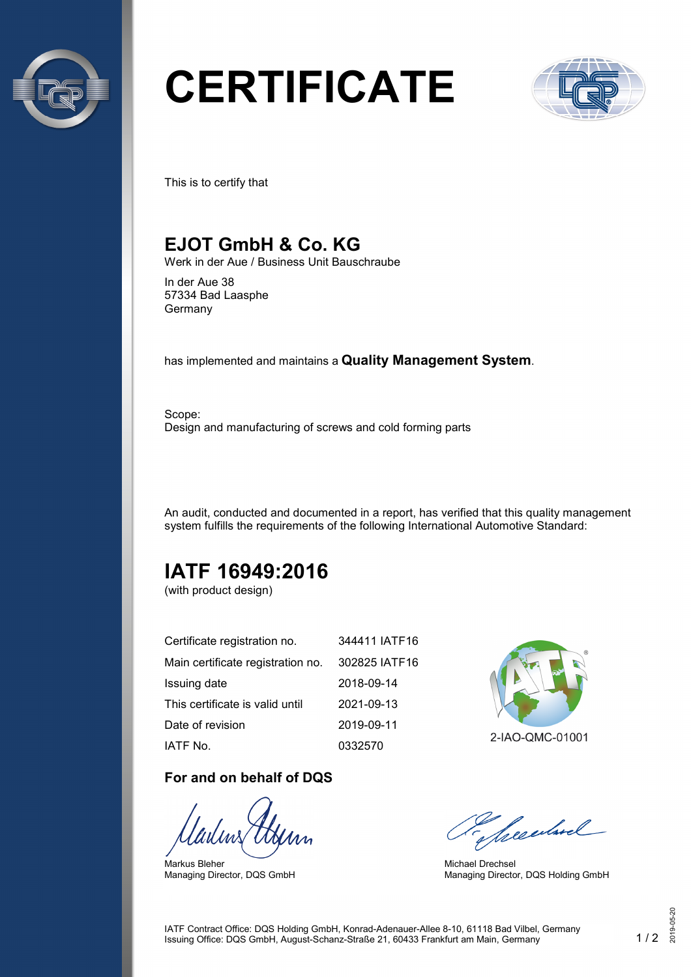

# **CERTIFICATE**



This is to certify that

### **EJOT GmbH & Co. KG**

Werk in der Aue / Business Unit Bauschraube

In der Aue 38 57334 Bad Laasphe Germany

has implemented and maintains a **Quality Management System**.

Scope: Design and manufacturing of screws and cold forming parts

An audit, conducted and documented in a report, has verified that this quality management system fulfills the requirements of the following International Automotive Standard:

# **IATF 16949:2016**

(with product design)

| Certificate registration no.      | 344411 IATF16 |
|-----------------------------------|---------------|
| Main certificate registration no. | 302825 IATF16 |
| Issuing date                      | 2018-09-14    |
| This certificate is valid until   | 2021-09-13    |
| Date of revision                  | 2019-09-11    |
| IATF No.                          | 0332570       |

#### **For and on behalf of DQS**

Markus Bleher Managing Director, DQS GmbH



2-IAO-QMC-01001

Seculard

Michael Drechsel Managing Director, DQS Holding GmbH

IATF Contract Office: DQS Holding GmbH, Konrad-Adenauer-Allee 8-10, 61118 Bad Vilbel, Germany Issuing Office: DQS GmbH, August-Schanz-Straße 21, 60433 Frankfurt am Main, Germany 1 / 2